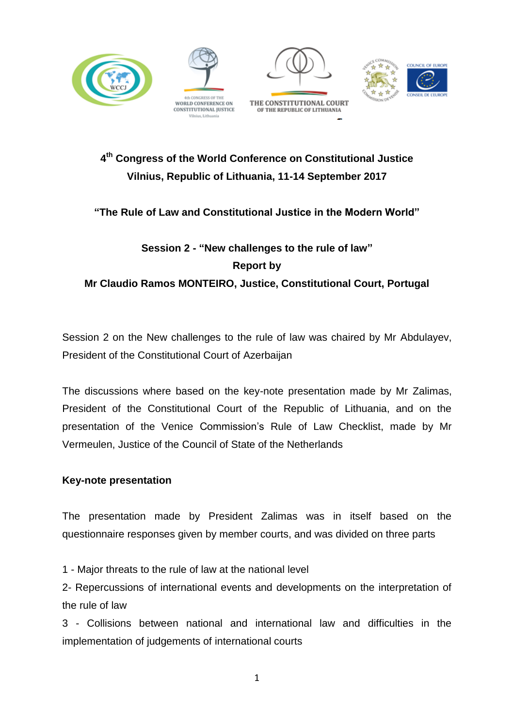







# **4 th Congress of the World Conference on Constitutional Justice Vilnius, Republic of Lithuania, 11-14 September 2017**

### **"The Rule of Law and Constitutional Justice in the Modern World"**

# **Session 2 - "New challenges to the rule of law" Report by Mr Claudio Ramos MONTEIRO, Justice, Constitutional Court, Portugal**

Session 2 on the New challenges to the rule of law was chaired by Mr Abdulayev, President of the Constitutional Court of Azerbaijan

The discussions where based on the key-note presentation made by Mr Zalimas, President of the Constitutional Court of the Republic of Lithuania, and on the presentation of the Venice Commission's Rule of Law Checklist, made by Mr Vermeulen, Justice of the Council of State of the Netherlands

### **Key-note presentation**

The presentation made by President Zalimas was in itself based on the questionnaire responses given by member courts, and was divided on three parts

1 - Major threats to the rule of law at the national level

2- Repercussions of international events and developments on the interpretation of the rule of law

3 - Collisions between national and international law and difficulties in the implementation of judgements of international courts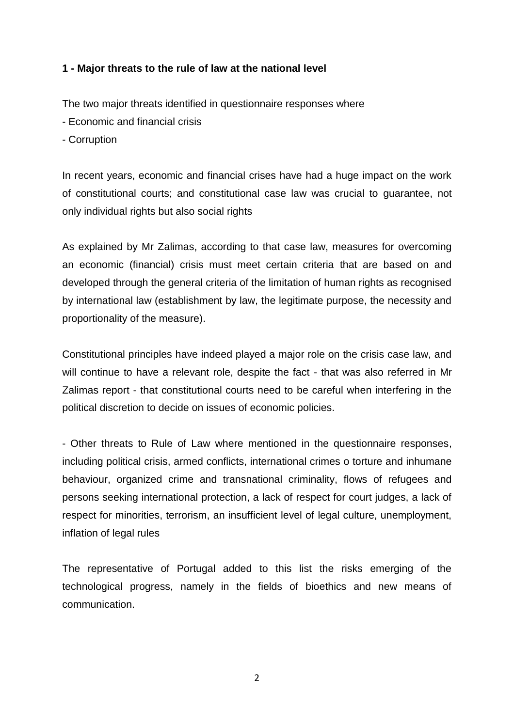#### **1 - Major threats to the rule of law at the national level**

The two major threats identified in questionnaire responses where

- Economic and financial crisis
- Corruption

In recent years, economic and financial crises have had a huge impact on the work of constitutional courts; and constitutional case law was crucial to guarantee, not only individual rights but also social rights

As explained by Mr Zalimas, according to that case law, measures for overcoming an economic (financial) crisis must meet certain criteria that are based on and developed through the general criteria of the limitation of human rights as recognised by international law (establishment by law, the legitimate purpose, the necessity and proportionality of the measure).

Constitutional principles have indeed played a major role on the crisis case law, and will continue to have a relevant role, despite the fact - that was also referred in Mr Zalimas report - that constitutional courts need to be careful when interfering in the political discretion to decide on issues of economic policies.

- Other threats to Rule of Law where mentioned in the questionnaire responses, including political crisis, armed conflicts, international crimes o torture and inhumane behaviour, organized crime and transnational criminality, flows of refugees and persons seeking international protection, a lack of respect for court judges, a lack of respect for minorities, terrorism, an insufficient level of legal culture, unemployment, inflation of legal rules

The representative of Portugal added to this list the risks emerging of the technological progress, namely in the fields of bioethics and new means of communication.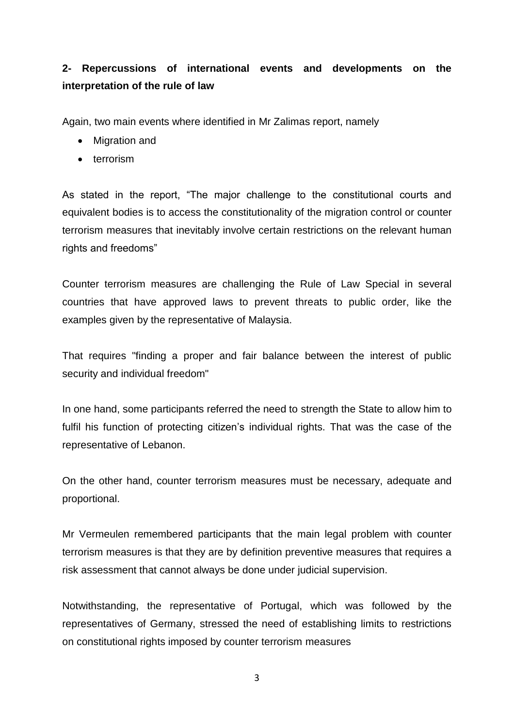## **2- Repercussions of international events and developments on the interpretation of the rule of law**

Again, two main events where identified in Mr Zalimas report, namely

- Migration and
- terrorism

As stated in the report, "The major challenge to the constitutional courts and equivalent bodies is to access the constitutionality of the migration control or counter terrorism measures that inevitably involve certain restrictions on the relevant human rights and freedoms"

Counter terrorism measures are challenging the Rule of Law Special in several countries that have approved laws to prevent threats to public order, like the examples given by the representative of Malaysia.

That requires "finding a proper and fair balance between the interest of public security and individual freedom"

In one hand, some participants referred the need to strength the State to allow him to fulfil his function of protecting citizen's individual rights. That was the case of the representative of Lebanon.

On the other hand, counter terrorism measures must be necessary, adequate and proportional.

Mr Vermeulen remembered participants that the main legal problem with counter terrorism measures is that they are by definition preventive measures that requires a risk assessment that cannot always be done under judicial supervision.

Notwithstanding, the representative of Portugal, which was followed by the representatives of Germany, stressed the need of establishing limits to restrictions on constitutional rights imposed by counter terrorism measures

3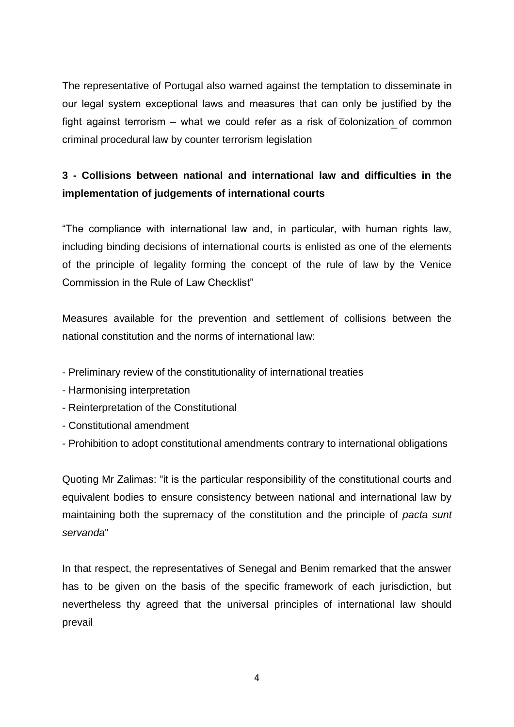The representative of Portugal also warned against the temptation to disseminate in our legal system exceptional laws and measures that can only be justified by the fight against terrorism – what we could refer as a risk of  $\overline{c}$ olonization of common criminal procedural law by counter terrorism legislation

## **3 - Collisions between national and international law and difficulties in the implementation of judgements of international courts**

"The compliance with international law and, in particular, with human rights law, including binding decisions of international courts is enlisted as one of the elements of the principle of legality forming the concept of the rule of law by the Venice Commission in the Rule of Law Checklist"

Measures available for the prevention and settlement of collisions between the national constitution and the norms of international law:

- Preliminary review of the constitutionality of international treaties
- Harmonising interpretation
- Reinterpretation of the Constitutional
- Constitutional amendment
- Prohibition to adopt constitutional amendments contrary to international obligations

Quoting Mr Zalimas: "it is the particular responsibility of the constitutional courts and equivalent bodies to ensure consistency between national and international law by maintaining both the supremacy of the constitution and the principle of *pacta sunt servanda*"

In that respect, the representatives of Senegal and Benim remarked that the answer has to be given on the basis of the specific framework of each jurisdiction, but nevertheless thy agreed that the universal principles of international law should prevail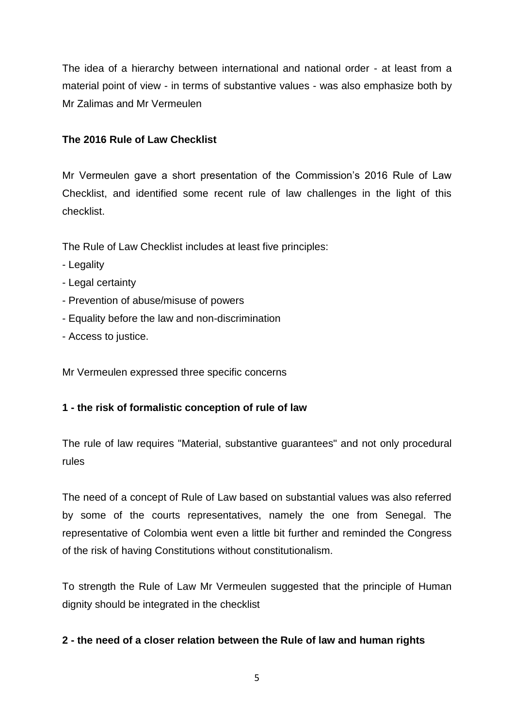The idea of a hierarchy between international and national order - at least from a material point of view - in terms of substantive values - was also emphasize both by Mr Zalimas and Mr Vermeulen

#### **The 2016 Rule of Law Checklist**

Mr Vermeulen gave a short presentation of the Commission's 2016 Rule of Law Checklist, and identified some recent rule of law challenges in the light of this checklist.

The Rule of Law Checklist includes at least five principles:

- Legality
- Legal certainty
- Prevention of abuse/misuse of powers
- Equality before the law and non-discrimination
- Access to justice.

Mr Vermeulen expressed three specific concerns

### **1 - the risk of formalistic conception of rule of law**

The rule of law requires "Material, substantive guarantees" and not only procedural rules

The need of a concept of Rule of Law based on substantial values was also referred by some of the courts representatives, namely the one from Senegal. The representative of Colombia went even a little bit further and reminded the Congress of the risk of having Constitutions without constitutionalism.

To strength the Rule of Law Mr Vermeulen suggested that the principle of Human dignity should be integrated in the checklist

#### **2 - the need of a closer relation between the Rule of law and human rights**